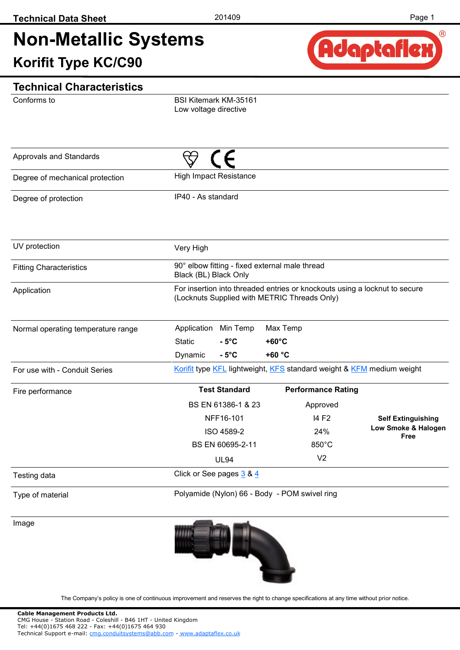

Conforms to

BSI Kitemark KM-35161 Low voltage directive

| Approvals and Standards            |                                                                                         |                                                                            |                             |
|------------------------------------|-----------------------------------------------------------------------------------------|----------------------------------------------------------------------------|-----------------------------|
| Degree of mechanical protection    | <b>High Impact Resistance</b>                                                           |                                                                            |                             |
| Degree of protection               | IP40 - As standard                                                                      |                                                                            |                             |
| UV protection                      | Very High                                                                               |                                                                            |                             |
| <b>Fitting Characteristics</b>     | 90° elbow fitting - fixed external male thread<br>Black (BL) Black Only                 |                                                                            |                             |
| Application                        | (Locknuts Supplied with METRIC Threads Only)                                            | For insertion into threaded entries or knockouts using a locknut to secure |                             |
| Normal operating temperature range | Application<br>Min Temp<br><b>Static</b><br>$-5^{\circ}$ C<br>$-5^{\circ}$ C<br>Dynamic | Max Temp<br>$+60^{\circ}$ C<br>+60 °C                                      |                             |
| For use with - Conduit Series      |                                                                                         | Korifit type KFL lightweight, KFS standard weight & KFM medium weight      |                             |
| Fire performance                   | <b>Test Standard</b>                                                                    | <b>Performance Rating</b>                                                  |                             |
|                                    | BS EN 61386-1 & 23                                                                      | Approved                                                                   |                             |
|                                    | NFF16-101                                                                               | 14 F <sub>2</sub>                                                          | <b>Self Extinguishing</b>   |
|                                    | ISO 4589-2                                                                              | 24%                                                                        | Low Smoke & Halogen<br>Free |
|                                    | BS EN 60695-2-11                                                                        | 850°C                                                                      |                             |
|                                    | <b>UL94</b>                                                                             | V <sub>2</sub>                                                             |                             |
| Testing data                       | Click or See pages 3 & 4                                                                |                                                                            |                             |
| Type of material                   | Polyamide (Nylon) 66 - Body - POM swivel ring                                           |                                                                            |                             |
| Image                              | and the second                                                                          |                                                                            |                             |

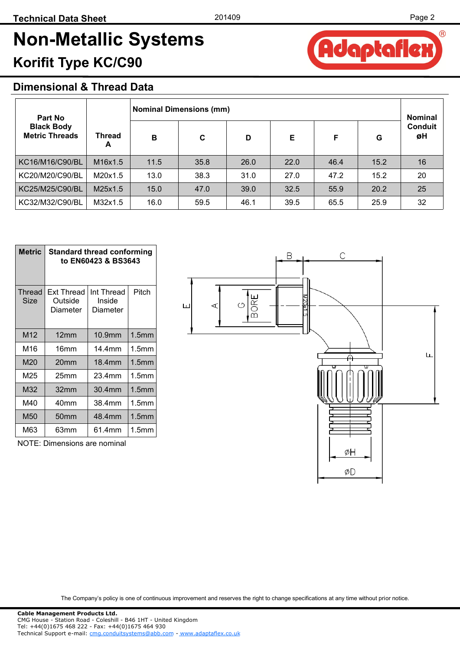## **Dimensional & Thread Data**

| <b>Nominal Dimensions (mm)</b><br>Part No  |                                  |      |      |      |      |      | <b>Nominal</b> |                      |
|--------------------------------------------|----------------------------------|------|------|------|------|------|----------------|----------------------|
| <b>Black Body</b><br><b>Metric Threads</b> | Thread<br>A                      | B    | C    | D    | Е    | F    | G              | <b>Conduit</b><br>øΗ |
| KC16/M16/C90/BL                            | M <sub>16</sub> x <sub>1.5</sub> | 11.5 | 35.8 | 26.0 | 22.0 | 46.4 | 15.2           | 16                   |
| KC20/M20/C90/BL                            | M20x1.5                          | 13.0 | 38.3 | 31.0 | 27.0 | 47.2 | 15.2           | 20                   |
| KC25/M25/C90/BL                            | M25x1.5                          | 15.0 | 47.0 | 39.0 | 32.5 | 55.9 | 20.2           | 25                   |
| KC32/M32/C90/BL                            | M32x1.5                          | 16.0 | 59.5 | 46.1 | 39.5 | 65.5 | 25.9           | 32                   |

| Metric                | <b>Standard thread conforming</b><br>to EN60423 & BS3643 |                                  |                   |  |  |  |
|-----------------------|----------------------------------------------------------|----------------------------------|-------------------|--|--|--|
| <b>Thread</b><br>Size | <b>Ext Thread</b><br>Outside<br>Diameter                 | Int Thread<br>Inside<br>Diameter | Pitch             |  |  |  |
| M12                   | 12mm                                                     | 10.9 <sub>mm</sub>               | 1.5 <sub>mm</sub> |  |  |  |
| M16                   | 16mm                                                     | 14.4mm                           | 1.5 <sub>mm</sub> |  |  |  |
| M20                   | 20 <sub>mm</sub>                                         | 18.4mm                           | 1.5 <sub>mm</sub> |  |  |  |
| M25                   | 25mm                                                     | 23.4mm                           | 1.5mm             |  |  |  |
| M32                   | 32mm                                                     | 30.4mm                           | 1.5 <sub>mm</sub> |  |  |  |
| M40                   | 40mm                                                     | 38.4mm                           | 1.5 <sub>mm</sub> |  |  |  |
| M50                   | 50mm                                                     | 48.4mm                           | 1.5 <sub>mm</sub> |  |  |  |
| M63                   | 63mm                                                     | 61.4mm                           | 1.5mm             |  |  |  |

NOTE: Dimensions are nominal



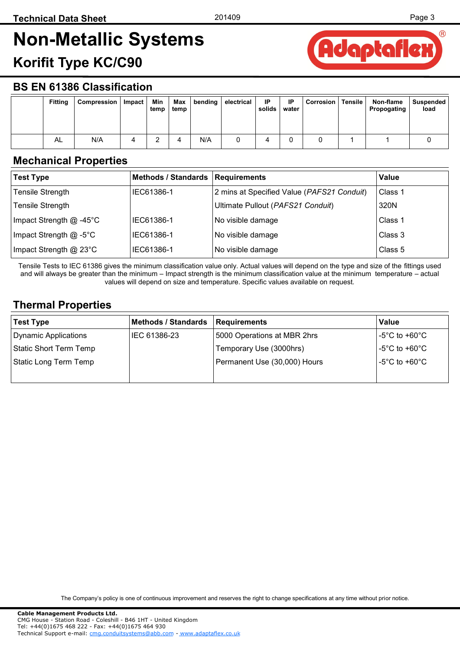

### <span id="page-2-0"></span>**BS EN 61386 Classification**

| <b>Fitting</b> | Compression | Impact | Min<br>temp | Max<br>temp | bending | electrical | IP<br>solids | <b>IP</b><br>water | Corrosion | Tensile | Non-flame<br>Propogating | Suspended<br>load |
|----------------|-------------|--------|-------------|-------------|---------|------------|--------------|--------------------|-----------|---------|--------------------------|-------------------|
| AL             | N/A         | ▵      |             |             | N/A     |            |              |                    |           |         |                          |                   |

#### **Mechanical Properties**

| <b>Test Type</b>          | Methods / Standards   Requirements |                                            | Value   |
|---------------------------|------------------------------------|--------------------------------------------|---------|
| <b>Tensile Strength</b>   | IEC61386-1                         | 2 mins at Specified Value (PAFS21 Conduit) | Class 1 |
| <b>Tensile Strength</b>   |                                    | Ultimate Pullout (PAFS21 Conduit)          | 320N    |
| Impact Strength $@$ -45°C | IEC61386-1                         | No visible damage                          | Class 1 |
| Impact Strength @ -5°C    | IEC61386-1                         | No visible damage                          | Class 3 |
| Impact Strength @ 23°C    | IEC61386-1                         | No visible damage                          | Class 5 |

Tensile Tests to IEC 61386 gives the minimum classification value only. Actual values will depend on the type and size of the fittings used and will always be greater than the minimum – Impact strength is the minimum classification value at the minimum temperature – actual values will depend on size and temperature. Specific values available on request.

## **Thermal Properties**

| <b>Test Type</b>       | <b>Methods / Standards</b> | Requirements                 | Value          |
|------------------------|----------------------------|------------------------------|----------------|
| Dynamic Applications   | IEC 61386-23               | 5000 Operations at MBR 2hrs  | -5°C to +60°C. |
| Static Short Term Temp |                            | Temporary Use (3000hrs)      | -5°C to +60°C  |
| Static Long Term Temp  |                            | Permanent Use (30,000) Hours | -5°C to +60°C  |
|                        |                            |                              |                |